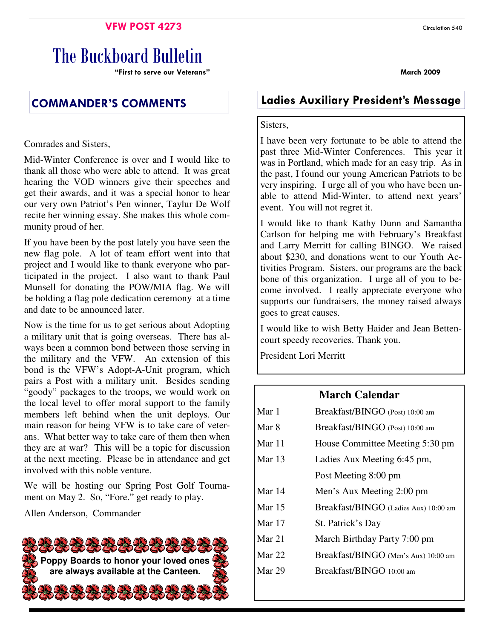#### **VFW POST 4273** Circulation 540

# The Buckboard Bulletin

"First to serve our Veterans" March 2009

Comrades and Sisters,

Mid-Winter Conference is over and I would like to thank all those who were able to attend. It was great hearing the VOD winners give their speeches and get their awards, and it was a special honor to hear our very own Patriot's Pen winner, Taylur De Wolf recite her winning essay. She makes this whole community proud of her.

If you have been by the post lately you have seen the new flag pole. A lot of team effort went into that project and I would like to thank everyone who participated in the project. I also want to thank Paul Munsell for donating the POW/MIA flag. We will be holding a flag pole dedication ceremony at a time and date to be announced later.

Now is the time for us to get serious about Adopting a military unit that is going overseas. There has always been a common bond between those serving in the military and the VFW. An extension of this bond is the VFW's Adopt-A-Unit program, which pairs a Post with a military unit. Besides sending "goody" packages to the troops, we would work on the local level to offer moral support to the family members left behind when the unit deploys. Our main reason for being VFW is to take care of veterans. What better way to take care of them then when they are at war? This will be a topic for discussion at the next meeting. Please be in attendance and get involved with this noble venture.

We will be hosting our Spring Post Golf Tournament on May 2. So, "Fore." get ready to play.

Allen Anderson, Commander



## COMMANDER'S COMMENTS Ladies Auxiliary President's Message

#### Sisters,

I have been very fortunate to be able to attend the past three Mid-Winter Conferences. This year it was in Portland, which made for an easy trip. As in the past, I found our young American Patriots to be very inspiring. I urge all of you who have been unable to attend Mid-Winter, to attend next years' event. You will not regret it.

I would like to thank Kathy Dunn and Samantha Carlson for helping me with February's Breakfast and Larry Merritt for calling BINGO. We raised about \$230, and donations went to our Youth Activities Program. Sisters, our programs are the back bone of this organization. I urge all of you to become involved. I really appreciate everyone who supports our fundraisers, the money raised always goes to great causes.

I would like to wish Betty Haider and Jean Bettencourt speedy recoveries. Thank you.

President Lori Merritt

#### **March Calendar**

| Mar 1    | Breakfast/BINGO (Post) 10:00 am       |  |  |
|----------|---------------------------------------|--|--|
| Mar 8    | Breakfast/BINGO (Post) 10:00 am       |  |  |
| Mar 11   | House Committee Meeting 5:30 pm       |  |  |
| Mar $13$ | Ladies Aux Meeting 6:45 pm,           |  |  |
|          | Post Meeting 8:00 pm                  |  |  |
| Mar 14   | Men's Aux Meeting 2:00 pm             |  |  |
| Mar $15$ | Breakfast/BINGO (Ladies Aux) 10:00 am |  |  |
| Mar 17   | St. Patrick's Day                     |  |  |
| Mar 21   | March Birthday Party 7:00 pm          |  |  |
| Mar $22$ | Breakfast/BINGO (Men's Aux) 10:00 am  |  |  |
| Mar 29   | Breakfast/BINGO 10:00 am              |  |  |
|          |                                       |  |  |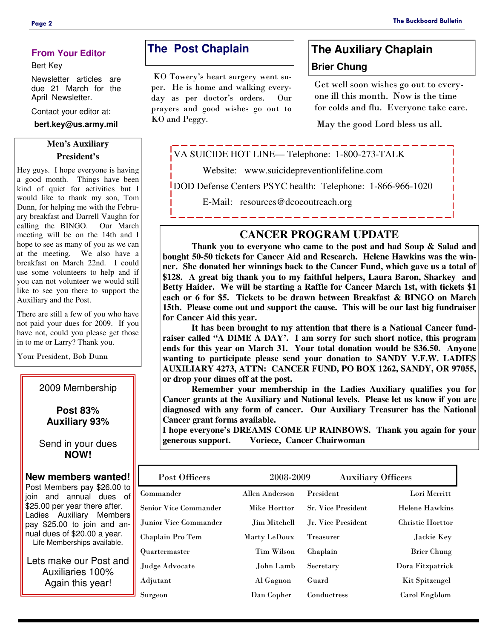#### **From Your Editor**

#### Bert Key

Newsletter articles are due 21 March for the April Newsletter.

Contact your editor at:

**bert.key@us.army.mil** 

#### **Men's Auxiliary President's**

Hey guys. I hope everyone is having a good month. Things have been kind of quiet for activities but I would like to thank my son, Tom Dunn, for helping me with the February breakfast and Darrell Vaughn for calling the BINGO. Our March meeting will be on the 14th and I hope to see as many of you as we can at the meeting. We also have a breakfast on March 22nd. I could use some volunteers to help and if you can not volunteer we would still like to see you there to support the Auxiliary and the Post.

There are still a few of you who have not paid your dues for 2009. If you have not, could you please get those in to me or Larry? Thank you.

Your President, Bob Dunn

#### 2009 Membership

#### **Post 83% Auxiliary 93%**

#### Send in your dues **NOW!**

#### **New members wanted!**

Post Members pay \$26.00 to join and annual dues of \$25.00 per year there after. Ladies Auxiliary Members pay \$25.00 to join and annual dues of \$20.00 a year. Life Memberships available.

Lets make our Post and Auxiliaries 100% Again this year!

### **The Post Chaplain**

 KO Towery's heart surgery went super. He is home and walking everyday as per doctor's orders. Our prayers and good wishes go out to KO and Peggy.

## **The Auxiliary Chaplain Brier Chung**

Get well soon wishes go out to everyone ill this month. Now is the time for colds and flu. Everyone take care.

May the good Lord bless us all.

VA SUICIDE HOT LINE— Telephone: 1-800-273-TALK

Website: www.suicidepreventionlifeline.com

DOD Defense Centers PSYC health: Telephone: 1-866-966-1020

E-Mail: resources@dcoeoutreach.org

### **CANCER PROGRAM UPDATE**

 **Thank you to everyone who came to the post and had Soup & Salad and bought 50-50 tickets for Cancer Aid and Research. Helene Hawkins was the winner. She donated her winnings back to the Cancer Fund, which gave us a total of \$128. A great big thank you to my faithful helpers, Laura Baron, Sharkey and Betty Haider. We will be starting a Raffle for Cancer March 1st, with tickets \$1 each or 6 for \$5. Tickets to be drawn between Breakfast & BINGO on March 15th. Please come out and support the cause. This will be our last big fundraiser for Cancer Aid this year.** 

 **It has been brought to my attention that there is a National Cancer fundraiser called "A DIME A DAY'. I am sorry for such short notice, this program ends for this year on March 31. Your total donation would be \$36.50. Anyone wanting to participate please send your donation to SANDY V.F.W. LADIES AUXILIARY 4273, ATTN: CANCER FUND, PO BOX 1262, SANDY, OR 97055, or drop your dimes off at the post.** 

 **Remember your membership in the Ladies Auxiliary qualifies you for Cancer grants at the Auxiliary and National levels. Please let us know if you are diagnosed with any form of cancer. Our Auxiliary Treasurer has the National Cancer grant forms available.** 

**I hope everyone's DREAMS COME UP RAINBOWS. Thank you again for your generous support. Voriece, Cancer Chairwoman** 

| Post Officers                | 2008-2009         | <b>Auxiliary Officers</b> |                         |
|------------------------------|-------------------|---------------------------|-------------------------|
| Commander                    | Allen Anderson    | President                 | Lori Merritt            |
| <b>Senior Vice Commander</b> | Mike Horttor      | <b>Sr. Vice President</b> | <b>Helene Hawkins</b>   |
| Junior Vice Commander.       | Jim Mitchell      | Jr. Vice President        | <b>Christie Horttor</b> |
| Chaplain Pro Tem             | Marty LeDoux      | Treasurer                 | Jackie Key              |
| Quartermaster                | <b>Tim Wilson</b> | Chaplain                  | <b>Brier Chung</b>      |
| Judge Advocate               | John Lamb         | Secretary                 | Dora Fitzpatrick        |
| Adjutant                     | Al Gagnon         | Guard                     | Kit Spitzengel          |
| Surgeon                      | Dan Copher        | Conductress               | Carol Engblom           |
|                              |                   |                           |                         |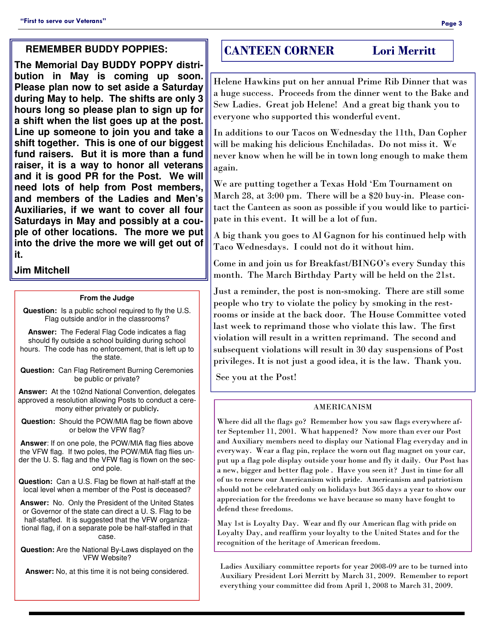#### **REMEMBER BUDDY POPPIES:**

**The Memorial Day BUDDY POPPY distribution in May is coming up soon. Please plan now to set aside a Saturday during May to help. The shifts are only 3 hours long so please plan to sign up for a shift when the list goes up at the post. Line up someone to join you and take a shift together. This is one of our biggest fund raisers. But it is more than a fund raiser, it is a way to honor all veterans and it is good PR for the Post. We will need lots of help from Post members, and members of the Ladies and Men's Auxiliaries, if we want to cover all four Saturdays in May and possibly at a couple of other locations. The more we put into the drive the more we will get out of it.** 

#### **Jim Mitchell**

#### **From the Judge**

**Question:** Is a public school required to fly the U.S. Flag outside and/or in the classrooms?

**Answer:** The Federal Flag Code indicates a flag should fly outside a school building during school hours. The code has no enforcement, that is left up to the state.

**Question:** Can Flag Retirement Burning Ceremonies be public or private?

**Answer:** At the 102nd National Convention, delegates approved a resolution allowing Posts to conduct a ceremony either privately or publicly**.** 

**Question:** Should the POW/MIA flag be flown above or below the VFW flag?

**Answer**: If on one pole, the POW/MIA flag flies above the VFW flag. If two poles, the POW/MIA flag flies under the U. S. flag and the VFW flag is flown on the second pole.

**Question:** Can a U.S. Flag be flown at half-staff at the local level when a member of the Post is deceased?

**Answer:** No. Only the President of the United States or Governor of the state can direct a U. S. Flag to be half-staffed. It is suggested that the VFW organizational flag, if on a separate pole be half-staffed in that case.

**Question:** Are the National By-Laws displayed on the VFW Website?

**Answer:** No, at this time it is not being considered.

### CANTEEN CORNER Lori Merritt

Helene Hawkins put on her annual Prime Rib Dinner that was a huge success. Proceeds from the dinner went to the Bake and Sew Ladies. Great job Helene! And a great big thank you to everyone who supported this wonderful event.

In additions to our Tacos on Wednesday the 11th, Dan Copher will be making his delicious Enchiladas. Do not miss it. We never know when he will be in town long enough to make them again.

We are putting together a Texas Hold 'Em Tournament on March 28, at 3:00 pm. There will be a \$20 buy-in. Please contact the Canteen as soon as possible if you would like to participate in this event. It will be a lot of fun.

A big thank you goes to Al Gagnon for his continued help with Taco Wednesdays. I could not do it without him.

Come in and join us for Breakfast/BINGO's every Sunday this month. The March Birthday Party will be held on the 21st.

Just a reminder, the post is non-smoking. There are still some people who try to violate the policy by smoking in the restrooms or inside at the back door. The House Committee voted last week to reprimand those who violate this law. The first violation will result in a written reprimand. The second and subsequent violations will result in 30 day suspensions of Post privileges. It is not just a good idea, it is the law. Thank you.

See you at the Post!

#### AMERICANISM

Where did all the flags go? Remember how you saw flags everywhere after September 11, 2001. What happened? Now more than ever our Post and Auxiliary members need to display our National Flag everyday and in everyway. Wear a flag pin, replace the worn out flag magnet on your car, put up a flag pole display outside your home and fly it daily. Our Post has a new, bigger and better flag pole . Have you seen it? Just in time for all of us to renew our Americanism with pride. Americanism and patriotism should not be celebrated only on holidays but 365 days a year to show our appreciation for the freedoms we have because so many have fought to defend these freedoms.

May 1st is Loyalty Day. Wear and fly our American flag with pride on Loyalty Day, and reaffirm your loyalty to the United States and for the recognition of the heritage of American freedom.

Ladies Auxiliary committee reports for year 2008-09 are to be turned into Auxiliary President Lori Merritt by March 31, 2009. Remember to report everything your committee did from April 1, 2008 to March 31, 2009.